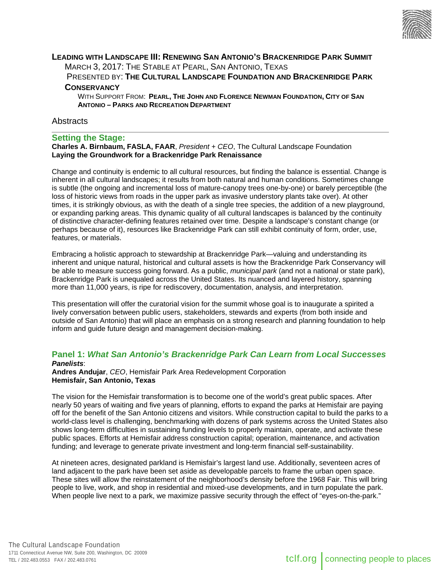

## **LEADING WITH LANDSCAPE III: RENEWING SAN ANTONIO'S BRACKENRIDGE PARK SUMMIT** MARCH 3, 2017: THE STABLE AT PEARL, SAN ANTONIO, TEXAS

PRESENTED BY: **THE CULTURAL LANDSCAPE FOUNDATION AND BRACKENRIDGE PARK CONSERVANCY**

WITH SUPPORT FROM: **PEARL, THE JOHN AND FLORENCE NEWMAN FOUNDATION, CITY OF SAN ANTONIO – PARKS AND RECREATION DEPARTMENT** 

# **Abstracts**

## **Setting the Stage:**

**Charles A. Birnbaum, FASLA, FAAR**, *President + CEO*, The Cultural Landscape Foundation **Laying the Groundwork for a Brackenridge Park Renaissance** 

Change and continuity is endemic to all cultural resources, but finding the balance is essential. Change is inherent in all cultural landscapes; it results from both natural and human conditions. Sometimes change is subtle (the ongoing and incremental loss of mature-canopy trees one-by-one) or barely perceptible (the loss of historic views from roads in the upper park as invasive understory plants take over). At other times, it is strikingly obvious, as with the death of a single tree species, the addition of a new playground, or expanding parking areas. This dynamic quality of all cultural landscapes is balanced by the continuity of distinctive character-defining features retained over time. Despite a landscape's constant change (or perhaps because of it), resources like Brackenridge Park can still exhibit continuity of form, order, use, features, or materials.

Embracing a holistic approach to stewardship at Brackenridge Park—valuing and understanding its inherent and unique natural, historical and cultural assets is how the Brackenridge Park Conservancy will be able to measure success going forward. As a public, *municipal park* (and not a national or state park), Brackenridge Park is unequaled across the United States. Its nuanced and layered history, spanning more than 11,000 years, is ripe for rediscovery, documentation, analysis, and interpretation.

This presentation will offer the curatorial vision for the summit whose goal is to inaugurate a spirited a lively conversation between public users, stakeholders, stewards and experts (from both inside and outside of San Antonio) that will place an emphasis on a strong research and planning foundation to help inform and guide future design and management decision-making.

#### **Panel 1:** *What San Antonio's Brackenridge Park Can Learn from Local Successes Panelists*:

**Andres Andujar**, *CEO*, Hemisfair Park Area Redevelopment Corporation **Hemisfair, San Antonio, Texas** 

The vision for the Hemisfair transformation is to become one of the world's great public spaces. After nearly 50 years of waiting and five years of planning, efforts to expand the parks at Hemisfair are paying off for the benefit of the San Antonio citizens and visitors. While construction capital to build the parks to a world-class level is challenging, benchmarking with dozens of park systems across the United States also shows long-term difficulties in sustaining funding levels to properly maintain, operate, and activate these public spaces. Efforts at Hemisfair address construction capital; operation, maintenance, and activation funding; and leverage to generate private investment and long-term financial self-sustainability.

At nineteen acres, designated parkland is Hemisfair's largest land use. Additionally, seventeen acres of land adjacent to the park have been set aside as developable parcels to frame the urban open space. These sites will allow the reinstatement of the neighborhood's density before the 1968 Fair. This will bring people to live, work, and shop in residential and mixed-use developments, and in turn populate the park. When people live next to a park, we maximize passive security through the effect of "eyes-on-the-park."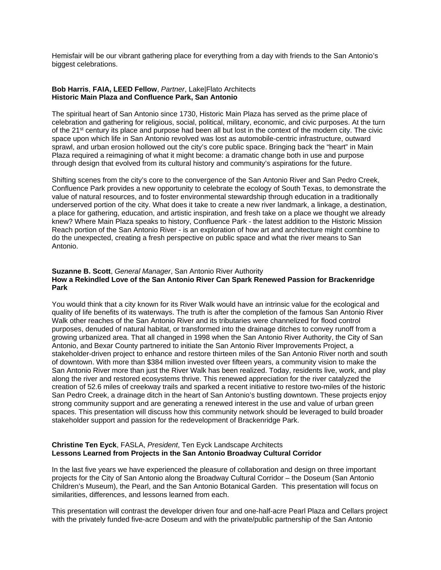Hemisfair will be our vibrant gathering place for everything from a day with friends to the San Antonio's biggest celebrations.

### **Bob Harris**, **FAIA, LEED Fellow**, *Partner*, Lake|Flato Architects **Historic Main Plaza and Confluence Park, San Antonio**

The spiritual heart of San Antonio since 1730, Historic Main Plaza has served as the prime place of celebration and gathering for religious, social, political, military, economic, and civic purposes. At the turn of the 21<sup>st</sup> century its place and purpose had been all but lost in the context of the modern city. The civic space upon which life in San Antonio revolved was lost as automobile-centric infrastructure, outward sprawl, and urban erosion hollowed out the city's core public space. Bringing back the "heart" in Main Plaza required a reimagining of what it might become: a dramatic change both in use and purpose through design that evolved from its cultural history and community's aspirations for the future.

Shifting scenes from the city's core to the convergence of the San Antonio River and San Pedro Creek, Confluence Park provides a new opportunity to celebrate the ecology of South Texas, to demonstrate the value of natural resources, and to foster environmental stewardship through education in a traditionally underserved portion of the city. What does it take to create a new river landmark, a linkage, a destination, a place for gathering, education, and artistic inspiration, and fresh take on a place we thought we already knew? Where Main Plaza speaks to history, Confluence Park - the latest addition to the Historic Mission Reach portion of the San Antonio River - is an exploration of how art and architecture might combine to do the unexpected, creating a fresh perspective on public space and what the river means to San Antonio.

### **Suzanne B. Scott**, *General Manager*, San Antonio River Authority **How a Rekindled Love of the San Antonio River Can Spark Renewed Passion for Brackenridge Park**

You would think that a city known for its River Walk would have an intrinsic value for the ecological and quality of life benefits of its waterways. The truth is after the completion of the famous San Antonio River Walk other reaches of the San Antonio River and its tributaries were channelized for flood control purposes, denuded of natural habitat, or transformed into the drainage ditches to convey runoff from a growing urbanized area. That all changed in 1998 when the San Antonio River Authority, the City of San Antonio, and Bexar County partnered to initiate the San Antonio River Improvements Project, a stakeholder-driven project to enhance and restore thirteen miles of the San Antonio River north and south of downtown. With more than \$384 million invested over fifteen years, a community vision to make the San Antonio River more than just the River Walk has been realized. Today, residents live, work, and play along the river and restored ecosystems thrive. This renewed appreciation for the river catalyzed the creation of 52.6 miles of creekway trails and sparked a recent initiative to restore two-miles of the historic San Pedro Creek, a drainage ditch in the heart of San Antonio's bustling downtown. These projects enjoy strong community support and are generating a renewed interest in the use and value of urban green spaces. This presentation will discuss how this community network should be leveraged to build broader stakeholder support and passion for the redevelopment of Brackenridge Park.

### **Christine Ten Eyck**, FASLA, *President*, Ten Eyck Landscape Architects **Lessons Learned from Projects in the San Antonio Broadway Cultural Corridor**

In the last five years we have experienced the pleasure of collaboration and design on three important projects for the City of San Antonio along the Broadway Cultural Corridor – the Doseum (San Antonio Children's Museum), the Pearl, and the San Antonio Botanical Garden. This presentation will focus on similarities, differences, and lessons learned from each.

This presentation will contrast the developer driven four and one-half-acre Pearl Plaza and Cellars project with the privately funded five-acre Doseum and with the private/public partnership of the San Antonio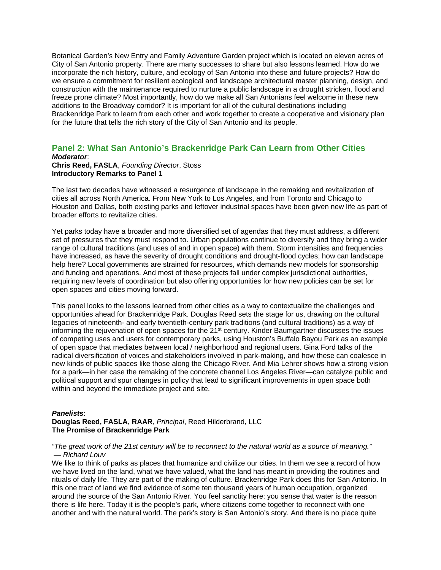Botanical Garden's New Entry and Family Adventure Garden project which is located on eleven acres of City of San Antonio property. There are many successes to share but also lessons learned. How do we incorporate the rich history, culture, and ecology of San Antonio into these and future projects? How do we ensure a commitment for resilient ecological and landscape architectural master planning, design, and construction with the maintenance required to nurture a public landscape in a drought stricken, flood and freeze prone climate? Most importantly, how do we make all San Antonians feel welcome in these new additions to the Broadway corridor? It is important for all of the cultural destinations including Brackenridge Park to learn from each other and work together to create a cooperative and visionary plan for the future that tells the rich story of the City of San Antonio and its people.

#### **Panel 2: What San Antonio's Brackenridge Park Can Learn from Other Cities**  *Moderator*:

# **Chris Reed, FASLA**, *Founding Director*, Stoss **Introductory Remarks to Panel 1**

The last two decades have witnessed a resurgence of landscape in the remaking and revitalization of cities all across North America. From New York to Los Angeles, and from Toronto and Chicago to Houston and Dallas, both existing parks and leftover industrial spaces have been given new life as part of broader efforts to revitalize cities.

Yet parks today have a broader and more diversified set of agendas that they must address, a different set of pressures that they must respond to. Urban populations continue to diversify and they bring a wider range of cultural traditions (and uses of and in open space) with them. Storm intensities and frequencies have increased, as have the severity of drought conditions and drought-flood cycles; how can landscape help here? Local governments are strained for resources, which demands new models for sponsorship and funding and operations. And most of these projects fall under complex jurisdictional authorities, requiring new levels of coordination but also offering opportunities for how new policies can be set for open spaces and cities moving forward.

This panel looks to the lessons learned from other cities as a way to contextualize the challenges and opportunities ahead for Brackenridge Park. Douglas Reed sets the stage for us, drawing on the cultural legacies of nineteenth- and early twentieth-century park traditions (and cultural traditions) as a way of informing the rejuvenation of open spaces for the 21st century. Kinder Baumgartner discusses the issues of competing uses and users for contemporary parks, using Houston's Buffalo Bayou Park as an example of open space that mediates between local / neighborhood and regional users. Gina Ford talks of the radical diversification of voices and stakeholders involved in park-making, and how these can coalesce in new kinds of public spaces like those along the Chicago River. And Mia Lehrer shows how a strong vision for a park—in her case the remaking of the concrete channel Los Angeles River—can catalyze public and political support and spur changes in policy that lead to significant improvements in open space both within and beyond the immediate project and site.

### *Panelists*:

### **Douglas Reed, FASLA, RAAR**, *Principal*, Reed Hilderbrand, LLC **The Promise of Brackenridge Park**

#### *"The great work of the 21st century will be to reconnect to the natural world as a source of meaning." — Richard Louv*

We like to think of parks as places that humanize and civilize our cities. In them we see a record of how we have lived on the land, what we have valued, what the land has meant in providing the routines and rituals of daily life. They are part of the making of culture. Brackenridge Park does this for San Antonio. In this one tract of land we find evidence of some ten thousand years of human occupation, organized around the source of the San Antonio River. You feel sanctity here: you sense that water is the reason there is life here. Today it is the people's park, where citizens come together to reconnect with one another and with the natural world. The park's story is San Antonio's story. And there is no place quite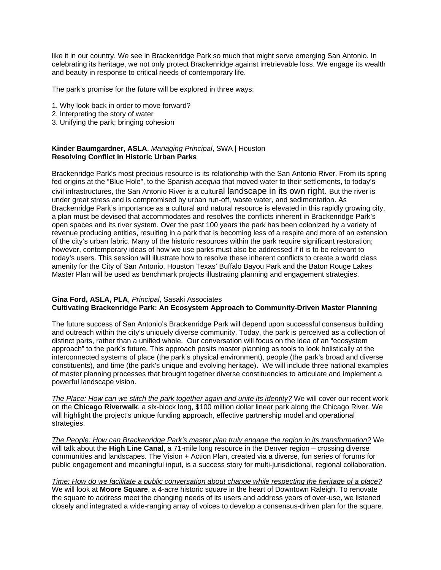like it in our country. We see in Brackenridge Park so much that might serve emerging San Antonio. In celebrating its heritage, we not only protect Brackenridge against irretrievable loss. We engage its wealth and beauty in response to critical needs of contemporary life.

The park's promise for the future will be explored in three ways:

- 1. Why look back in order to move forward?
- 2. Interpreting the story of water
- 3. Unifying the park; bringing cohesion

### **Kinder Baumgardner, ASLA**, *Managing Principal*, SWA | Houston **Resolving Conflict in Historic Urban Parks**

Brackenridge Park's most precious resource is its relationship with the San Antonio River. From its spring fed origins at the "Blue Hole", to the Spanish *acequia* that moved water to their settlements, to today's civil infrastructures, the San Antonio River is a cultural landscape in its own right. But the river is under great stress and is compromised by urban run-off, waste water, and sedimentation. As Brackenridge Park's importance as a cultural and natural resource is elevated in this rapidly growing city, a plan must be devised that accommodates and resolves the conflicts inherent in Brackenridge Park's open spaces and its river system. Over the past 100 years the park has been colonized by a variety of revenue producing entities, resulting in a park that is becoming less of a respite and more of an extension of the city's urban fabric. Many of the historic resources within the park require significant restoration; however, contemporary ideas of how we use parks must also be addressed if it is to be relevant to today's users. This session will illustrate how to resolve these inherent conflicts to create a world class amenity for the City of San Antonio. Houston Texas' Buffalo Bayou Park and the Baton Rouge Lakes Master Plan will be used as benchmark projects illustrating planning and engagement strategies.

#### **Gina Ford, ASLA, PLA**, *Principal*, Sasaki Associates **Cultivating Brackenridge Park: An Ecosystem Approach to Community-Driven Master Planning**

The future success of San Antonio's Brackenridge Park will depend upon successful consensus building and outreach within the city's uniquely diverse community. Today, the park is perceived as a collection of distinct parts, rather than a unified whole. Our conversation will focus on the idea of an "ecosystem approach" to the park's future. This approach posits master planning as tools to look holistically at the interconnected systems of place (the park's physical environment), people (the park's broad and diverse constituents), and time (the park's unique and evolving heritage). We will include three national examples of master planning processes that brought together diverse constituencies to articulate and implement a powerful landscape vision.

*The Place: How can we stitch the park together again and unite its identity?* We will cover our recent work on the **Chicago Riverwalk**, a six-block long, \$100 million dollar linear park along the Chicago River. We will highlight the project's unique funding approach, effective partnership model and operational strategies.

*The People: How can Brackenridge Park's master plan truly engage the region in its transformation?* We will talk about the **High Line Canal**, a 71-mile long resource in the Denver region – crossing diverse communities and landscapes. The Vision + Action Plan, created via a diverse, fun series of forums for public engagement and meaningful input, is a success story for multi-jurisdictional, regional collaboration.

### *Time: How do we facilitate a public conversation about change while respecting the heritage of a place?*  We will look at **Moore Square**, a 4-acre historic square in the heart of Downtown Raleigh. To renovate the square to address meet the changing needs of its users and address years of over-use, we listened closely and integrated a wide-ranging array of voices to develop a consensus-driven plan for the square.